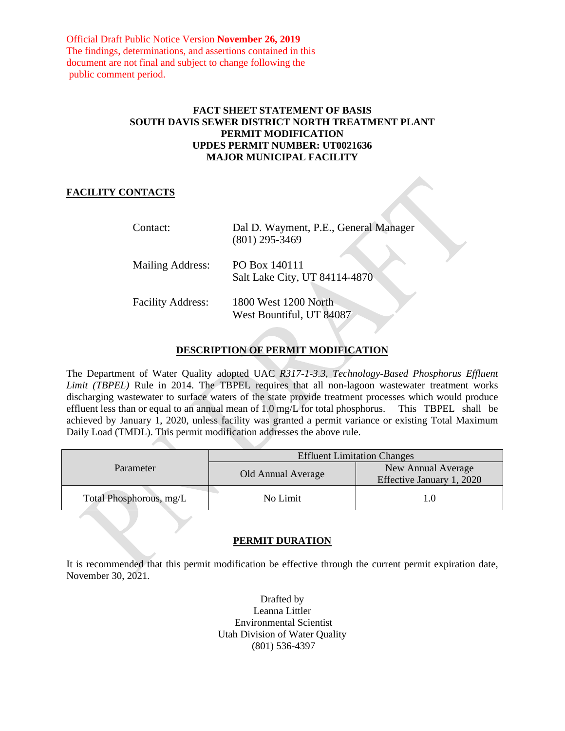Official Draft Public Notice Version **November 26, 2019** The findings, determinations, and assertions contained in this document are not final and subject to change following the public comment period.

# **FACT SHEET STATEMENT OF BASIS SOUTH DAVIS SEWER DISTRICT NORTH TREATMENT PLANT PERMIT MODIFICATION UPDES PERMIT NUMBER: UT0021636 MAJOR MUNICIPAL FACILITY**

# **FACILITY CONTACTS**

| Contact:                 | Dal D. Wayment, P.E., General Manager<br>$(801)$ 295-3469 |
|--------------------------|-----------------------------------------------------------|
| <b>Mailing Address:</b>  | PO Box 140111<br>Salt Lake City, UT 84114-4870            |
| <b>Facility Address:</b> | 1800 West 1200 North<br>West Bountiful, UT 84087          |

# **DESCRIPTION OF PERMIT MODIFICATION**

The Department of Water Quality adopted UAC *R317-1-3.3*, *Technology-Based Phosphorus Effluent Limit (TBPEL)* Rule in 2014. The TBPEL requires that all non-lagoon wastewater treatment works discharging wastewater to surface waters of the state provide treatment processes which would produce effluent less than or equal to an annual mean of 1.0 mg/L for total phosphorus. This TBPEL shall be achieved by January 1, 2020, unless facility was granted a permit variance or existing Total Maximum Daily Load (TMDL). This permit modification addresses the above rule.

| Parameter               | <b>Effluent Limitation Changes</b> |                                                 |
|-------------------------|------------------------------------|-------------------------------------------------|
|                         | Old Annual Average                 | New Annual Average<br>Effective January 1, 2020 |
| Total Phosphorous, mg/L | No Limit                           |                                                 |

# **PERMIT DURATION**

It is recommended that this permit modification be effective through the current permit expiration date, November 30, 2021.

> Drafted by Leanna Littler Environmental Scientist Utah Division of Water Quality (801) 536-4397